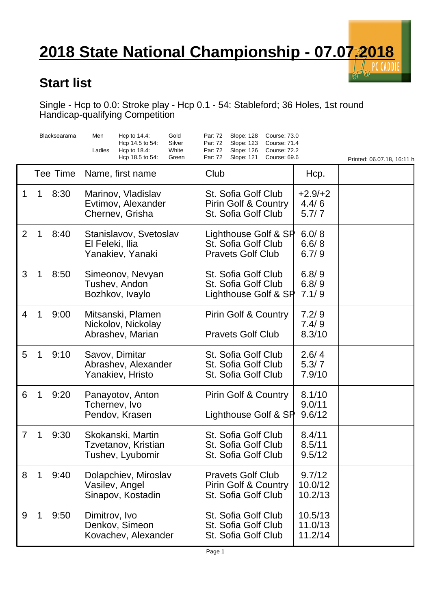## **2018 State National Championship - 07.07.2018**

## **Start list**

Single - Hcp to 0.0: Stroke play - Hcp 0.1 - 54: Stableford; 36 Holes, 1st round Handicap-qualifying Competition

|                |   | Blacksearama | Hcp to $14.4$ :<br>Gold<br>Men<br>Hcp 14.5 to 54:<br>Silver<br>White<br>Ladies<br>Hcp to $18.4$ :<br>Hcp 18.5 to 54:<br>Green | Par: 72<br>Slope: 128<br>Course: 73.0<br>Slope: 123<br>Par: 72<br>Course: 71.4<br>Par: 72<br>Slope: 126<br><b>Course: 72.2</b><br>Par: 72<br>Slope: 121<br>Course: 69.6 |                               |                            |
|----------------|---|--------------|-------------------------------------------------------------------------------------------------------------------------------|-------------------------------------------------------------------------------------------------------------------------------------------------------------------------|-------------------------------|----------------------------|
|                |   | Tee Time     | Name, first name                                                                                                              | Club                                                                                                                                                                    | Hcp.                          | Printed: 06.07.18, 16:11 h |
| 1              | 1 | 8:30         | Marinov, Vladislav<br>Evtimov, Alexander<br>Chernev, Grisha                                                                   | St. Sofia Golf Club<br><b>Pirin Golf &amp; Country</b><br>St. Sofia Golf Club                                                                                           | $+2.9/+2$<br>4.4/6<br>5.7/7   |                            |
| $\overline{2}$ | 1 | 8:40         | Stanislavov, Svetoslav<br>El Feleki, Ilia<br>Yanakiev, Yanaki                                                                 | Lighthouse Golf & SP<br>St. Sofia Golf Club<br><b>Pravets Golf Club</b>                                                                                                 | 6.0/8<br>6.6/8<br>6.7/9       |                            |
| 3              | 1 | 8:50         | Simeonov, Nevyan<br>Tushev, Andon<br>Bozhkov, Ivaylo                                                                          | St. Sofia Golf Club<br>St. Sofia Golf Club<br>Lighthouse Golf & SP                                                                                                      | 6.8/9<br>6.8/9<br>7.1/9       |                            |
| 4              | 1 | 9:00         | Mitsanski, Plamen<br>Nickolov, Nickolay<br>Abrashev, Marian                                                                   | <b>Pirin Golf &amp; Country</b><br><b>Pravets Golf Club</b>                                                                                                             | 7.2/9<br>7.4/9<br>8.3/10      |                            |
| 5              | 1 | 9:10         | Savov, Dimitar<br>Abrashev, Alexander<br>Yanakiev, Hristo                                                                     | St. Sofia Golf Club<br>St. Sofia Golf Club<br>St. Sofia Golf Club                                                                                                       | 2.6/4<br>5.3/7<br>7.9/10      |                            |
| 6              | 1 | 9:20         | Panayotov, Anton<br>Tchernev, Ivo<br>Pendov, Krasen                                                                           | <b>Pirin Golf &amp; Country</b><br>Lighthouse Golf & SP                                                                                                                 | 8.1/10<br>9.0/11<br>9.6/12    |                            |
| 7              | 1 | 9:30         | Skokanski, Martin<br>Tzvetanov, Kristian<br>Tushev, Lyubomir                                                                  | St. Sofia Golf Club<br>St. Sofia Golf Club<br>St. Sofia Golf Club                                                                                                       | 8.4/11<br>8.5/11<br>9.5/12    |                            |
| 8              | 1 | 9:40         | Dolapchiev, Miroslav<br>Vasilev, Angel<br>Sinapov, Kostadin                                                                   | <b>Pravets Golf Club</b><br><b>Pirin Golf &amp; Country</b><br>St. Sofia Golf Club                                                                                      | 9.7/12<br>10.0/12<br>10.2/13  |                            |
| 9              | 1 | 9:50         | Dimitrov, Ivo<br>Denkov, Simeon<br>Kovachev, Alexander                                                                        | St. Sofia Golf Club<br>St. Sofia Golf Club<br>St. Sofia Golf Club                                                                                                       | 10.5/13<br>11.0/13<br>11.2/14 |                            |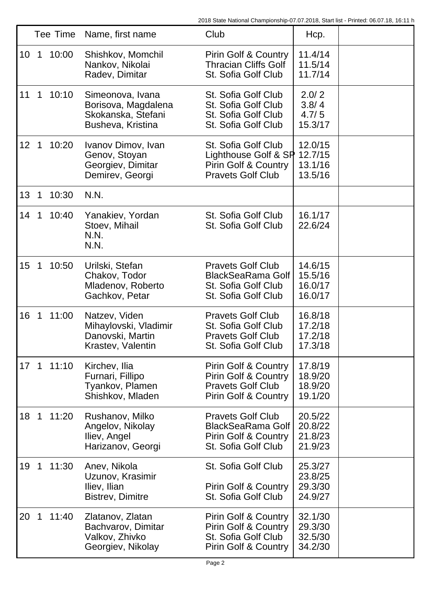|    | Tee Time     |       | Name, first name                                                                   | Club                                                                                                              | Hcp.                                     |  |
|----|--------------|-------|------------------------------------------------------------------------------------|-------------------------------------------------------------------------------------------------------------------|------------------------------------------|--|
| 10 | 1            | 10:00 | Shishkov, Momchil<br>Nankov, Nikolai<br>Radev, Dimitar                             | <b>Pirin Golf &amp; Country</b><br><b>Thracian Cliffs Golf</b><br>St. Sofia Golf Club                             | 11.4/14<br>11.5/14<br>11.7/14            |  |
| 11 | $\mathbf{1}$ | 10:10 | Simeonova, Ivana<br>Borisova, Magdalena<br>Skokanska, Stefani<br>Busheva, Kristina | St. Sofia Golf Club<br>St. Sofia Golf Club<br>St. Sofia Golf Club<br>St. Sofia Golf Club                          | 2.0/2<br>3.8/4<br>4.7/5<br>15.3/17       |  |
| 12 | $\mathbf 1$  | 10:20 | Ivanov Dimov, Ivan<br>Genov, Stoyan<br>Georgiev, Dimitar<br>Demirev, Georgi        | St. Sofia Golf Club<br>Lighthouse Golf & SP<br>Pirin Golf & Country<br><b>Pravets Golf Club</b>                   | 12.0/15<br>12.7/15<br>13.1/16<br>13.5/16 |  |
| 13 | 1            | 10:30 | N.N.                                                                               |                                                                                                                   |                                          |  |
| 14 | 1            | 10:40 | Yanakiev, Yordan<br>Stoev, Mihail<br>N.N.<br>N.N.                                  | St. Sofia Golf Club<br>St. Sofia Golf Club                                                                        | 16.1/17<br>22.6/24                       |  |
| 15 | 1            | 10:50 | Urilski, Stefan<br>Chakov, Todor<br>Mladenov, Roberto<br>Gachkov, Petar            | <b>Pravets Golf Club</b><br><b>BlackSeaRama Golf</b><br>St. Sofia Golf Club<br>St. Sofia Golf Club                | 14.6/15<br>15.5/16<br>16.0/17<br>16.0/17 |  |
| 16 | 1            | 11:00 | Natzev, Viden<br>Mihaylovski, Vladimir<br>Danovski, Martin<br>Krastev, Valentin    | <b>Pravets Golf Club</b><br>St. Sofia Golf Club<br><b>Pravets Golf Club</b><br>St. Sofia Golf Club                | 16.8/18<br>17.2/18<br>17.2/18<br>17.3/18 |  |
| 17 | $\mathbf 1$  | 11:10 | Kirchev, Ilia<br>Furnari, Fillipo<br>Tyankov, Plamen<br>Shishkov, Mladen           | Pirin Golf & Country<br><b>Pirin Golf &amp; Country</b><br><b>Pravets Golf Club</b><br>Pirin Golf & Country       | 17.8/19<br>18.9/20<br>18.9/20<br>19.1/20 |  |
| 18 | 1            | 11:20 | Rushanov, Milko<br>Angelov, Nikolay<br>Iliev, Angel<br>Harizanov, Georgi           | <b>Pravets Golf Club</b><br><b>BlackSeaRama Golf</b><br>Pirin Golf & Country<br>St. Sofia Golf Club               | 20.5/22<br>20.8/22<br>21.8/23<br>21.9/23 |  |
| 19 | 1            | 11:30 | Anev, Nikola<br>Uzunov, Krasimir<br>Iliev, Ilian<br><b>Bistrev, Dimitre</b>        | St. Sofia Golf Club<br><b>Pirin Golf &amp; Country</b><br>St. Sofia Golf Club                                     | 25.3/27<br>23.8/25<br>29.3/30<br>24.9/27 |  |
| 20 | 1            | 11:40 | Zlatanov, Zlatan<br>Bachvarov, Dimitar<br>Valkov, Zhivko<br>Georgiev, Nikolay      | <b>Pirin Golf &amp; Country</b><br><b>Pirin Golf &amp; Country</b><br>St. Sofia Golf Club<br>Pirin Golf & Country | 32.1/30<br>29.3/30<br>32.5/30<br>34.2/30 |  |